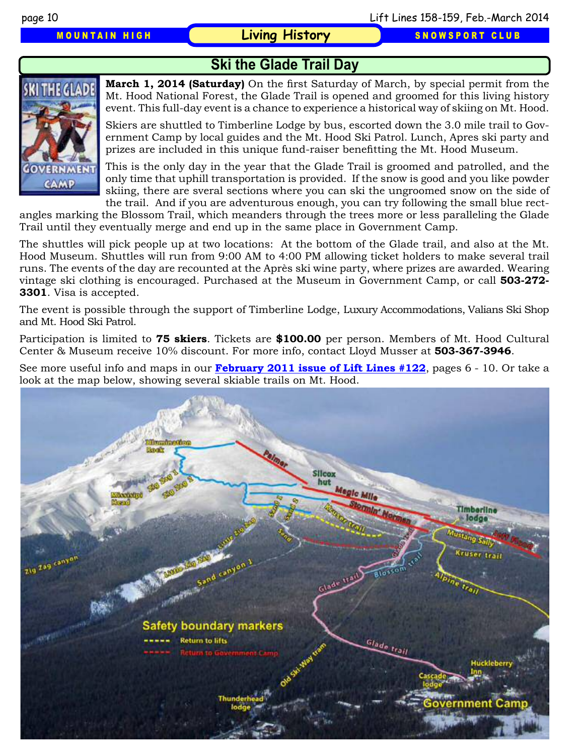MOUNTAIN HIGH **CONSTRUSS CONSTRUSS CONSTRUSS SNOWSPORT CLUB** 



## **Ski the Glade Trail Day**

**March 1, 2014 (Saturday)** On the first Saturday of March, by special permit from the Mt. Hood National Forest, the Glade Trail is opened and groomed for this living history event. This full-day event is a chance to experience a historical way of skiing on Mt. Hood.

Skiers are shuttled to Timberline Lodge by bus, escorted down the 3.0 mile trail to Government Camp by local guides and the Mt. Hood Ski Patrol. Lunch, Apres ski party and prizes are included in this unique fund-raiser benefitting the Mt. Hood Museum.

This is the only day in the year that the Glade Trail is groomed and patrolled, and the only time that uphill transportation is provided. If the snow is good and you like powder skiing, there are sveral sections where you can ski the ungroomed snow on the side of the trail. And if you are adventurous enough, you can try following the small blue rect-

angles marking the Blossom Trail, which meanders through the trees more or less paralleling the Glade Trail until they eventually merge and end up in the same place in Government Camp.

The shuttles will pick people up at two locations: At the bottom of the Glade trail, and also at the Mt. Hood Museum. Shuttles will run from 9:00 AM to 4:00 PM allowing ticket holders to make several trail runs. The events of the day are recounted at the Après ski wine party, where prizes are awarded. Wearing vintage ski clothing is encouraged. Purchased at the Museum in Government Camp, or call **503-272- 3301**. Visa is accepted.

The event is possible through the support of Timberline Lodge, Luxury Accommodations, Valians Ski Shop and Mt. Hood Ski Patrol.

Participation is limited to **75 skiers**. Tickets are **\$100.00** per person. Members of Mt. Hood Cultural Center & Museum receive 10% discount. For more info, contact Lloyd Musser at **503-367-3946**.

See more useful info and maps in our **February 2011 issue of Lift Lines #122**, pages 6 - 10. Or take a look at the map below, showing several skiable trails on Mt. Hood.